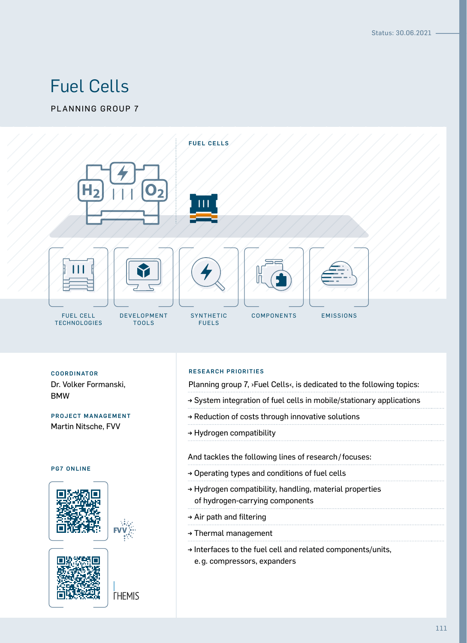# Fuel Cells

PLANNING GROUP 7



Dr. Volker Formanski, BMW

PROJECT MANAGEMENT Martin Nitsche, FVV

#### PG7 ONLINE





**THEMIS** 

#### RESEARCH PRIORITIES COORDINATOR

Planning group 7, >Fuel Cells<, is dedicated to the following topics:

- → System integration of fuel cells in mobile/stationary applications
- → Reduction of costs through innovative solutions
- → Hydrogen compatibility

#### And tackles the following lines of research/focuses:

- → Operating types and conditions of fuel cells
- → Hydrogen compatibility, handling, material properties of hydrogen-carrying components
- → Air path and filtering
- → Thermal management
- → Interfaces to the fuel cell and related components/units, e.g. compressors, expanders